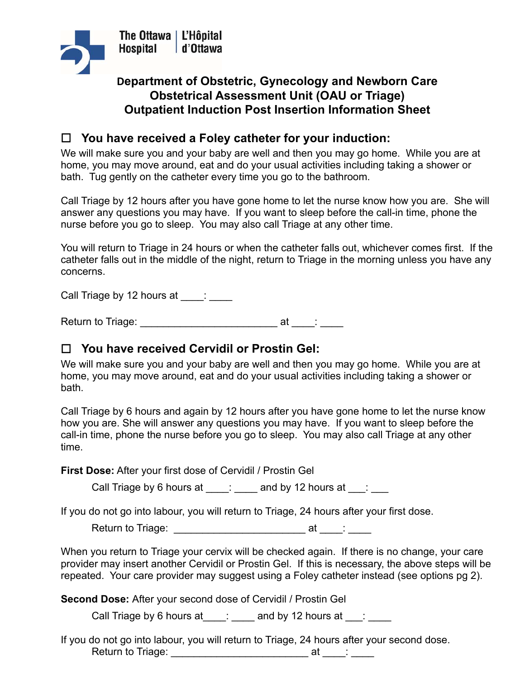

## **Department of Obstetric, Gynecology and Newborn Care Obstetrical Assessment Unit (OAU or Triage) Outpatient Induction Post Insertion Information Sheet**

## **You have received a Foley catheter for your induction:**

We will make sure you and your baby are well and then you may go home. While you are at home, you may move around, eat and do your usual activities including taking a shower or bath. Tug gently on the catheter every time you go to the bathroom.

Call Triage by 12 hours after you have gone home to let the nurse know how you are. She will answer any questions you may have. If you want to sleep before the call-in time, phone the nurse before you go to sleep. You may also call Triage at any other time.

You will return to Triage in 24 hours or when the catheter falls out, whichever comes first. If the catheter falls out in the middle of the night, return to Triage in the morning unless you have any concerns.

Call Triage by 12 hours at \_\_\_\_: \_\_\_\_

Return to Triage: \_\_\_\_\_\_\_\_\_\_\_\_\_\_\_\_\_\_\_\_\_\_\_\_ at \_\_\_\_: \_\_\_\_

## **You have received Cervidil or Prostin Gel:**

We will make sure you and your baby are well and then you may go home. While you are at home, you may move around, eat and do your usual activities including taking a shower or bath.

Call Triage by 6 hours and again by 12 hours after you have gone home to let the nurse know how you are. She will answer any questions you may have. If you want to sleep before the call-in time, phone the nurse before you go to sleep. You may also call Triage at any other time.

**First Dose:** After your first dose of Cervidil / Prostin Gel

Call Triage by 6 hours at  $\qquad : \qquad$  and by 12 hours at  $\qquad : \qquad$ 

If you do not go into labour, you will return to Triage, 24 hours after your first dose.

Return to Triage: \_\_\_\_\_\_\_\_\_\_\_\_\_\_\_\_\_\_\_\_\_\_\_ at \_\_\_\_: \_\_\_\_

When you return to Triage your cervix will be checked again. If there is no change, your care provider may insert another Cervidil or Prostin Gel. If this is necessary, the above steps will be repeated. Your care provider may suggest using a Foley catheter instead (see options pg 2).

**Second Dose:** After your second dose of Cervidil / Prostin Gel

Call Triage by 6 hours at  $\frac{1}{\sqrt{2}}$  and by 12 hours at  $\frac{1}{\sqrt{2}}$ 

If you do not go into labour, you will return to Triage, 24 hours after your second dose. Return to Triage: \_\_\_\_\_\_\_\_\_\_\_\_\_\_\_\_\_\_\_\_\_\_\_\_ at \_\_\_\_: \_\_\_\_